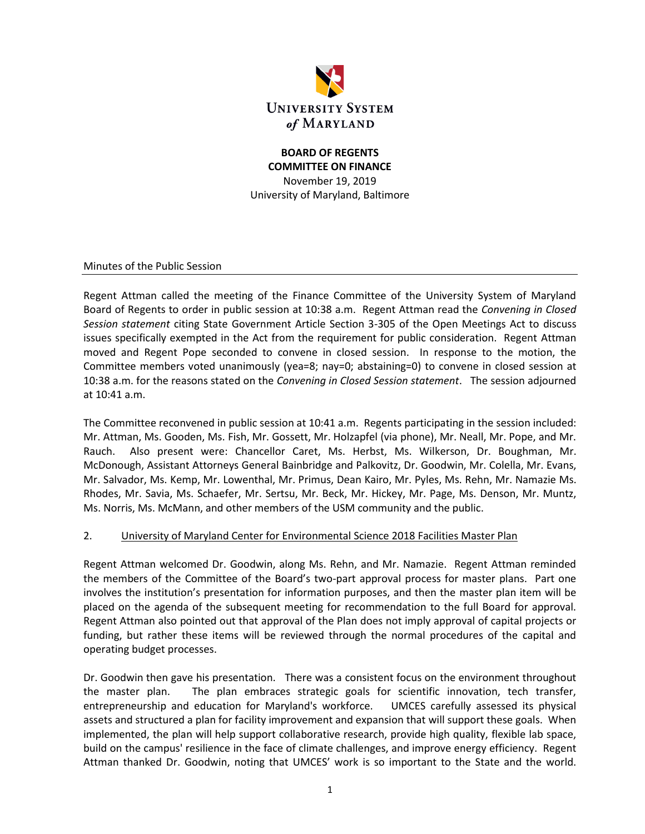

## **BOARD OF REGENTS COMMITTEE ON FINANCE** November 19, 2019 University of Maryland, Baltimore

Minutes of the Public Session

Regent Attman called the meeting of the Finance Committee of the University System of Maryland Board of Regents to order in public session at 10:38 a.m. Regent Attman read the *Convening in Closed Session statement* citing State Government Article Section 3-305 of the Open Meetings Act to discuss issues specifically exempted in the Act from the requirement for public consideration. Regent Attman moved and Regent Pope seconded to convene in closed session. In response to the motion, the Committee members voted unanimously (yea=8; nay=0; abstaining=0) to convene in closed session at 10:38 a.m. for the reasons stated on the *Convening in Closed Session statement*. The session adjourned at 10:41 a.m.

The Committee reconvened in public session at 10:41 a.m. Regents participating in the session included: Mr. Attman, Ms. Gooden, Ms. Fish, Mr. Gossett, Mr. Holzapfel (via phone), Mr. Neall, Mr. Pope, and Mr. Rauch. Also present were: Chancellor Caret, Ms. Herbst, Ms. Wilkerson, Dr. Boughman, Mr. McDonough, Assistant Attorneys General Bainbridge and Palkovitz, Dr. Goodwin, Mr. Colella, Mr. Evans, Mr. Salvador, Ms. Kemp, Mr. Lowenthal, Mr. Primus, Dean Kairo, Mr. Pyles, Ms. Rehn, Mr. Namazie Ms. Rhodes, Mr. Savia, Ms. Schaefer, Mr. Sertsu, Mr. Beck, Mr. Hickey, Mr. Page, Ms. Denson, Mr. Muntz, Ms. Norris, Ms. McMann, and other members of the USM community and the public.

### 2. University of Maryland Center for Environmental Science 2018 Facilities Master Plan

Regent Attman welcomed Dr. Goodwin, along Ms. Rehn, and Mr. Namazie. Regent Attman reminded the members of the Committee of the Board's two-part approval process for master plans. Part one involves the institution's presentation for information purposes, and then the master plan item will be placed on the agenda of the subsequent meeting for recommendation to the full Board for approval. Regent Attman also pointed out that approval of the Plan does not imply approval of capital projects or funding, but rather these items will be reviewed through the normal procedures of the capital and operating budget processes.

Dr. Goodwin then gave his presentation. There was a consistent focus on the environment throughout the master plan. The plan embraces strategic goals for scientific innovation, tech transfer, entrepreneurship and education for Maryland's workforce. UMCES carefully assessed its physical assets and structured a plan for facility improvement and expansion that will support these goals. When implemented, the plan will help support collaborative research, provide high quality, flexible lab space, build on the campus' resilience in the face of climate challenges, and improve energy efficiency. Regent Attman thanked Dr. Goodwin, noting that UMCES' work is so important to the State and the world.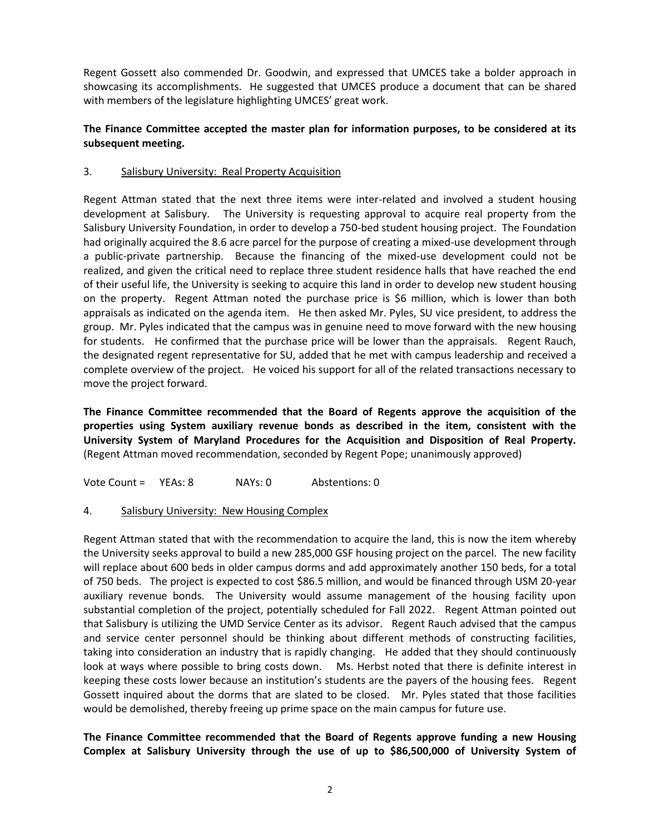Regent Gossett also commended Dr. Goodwin, and expressed that UMCES take a bolder approach in showcasing its accomplishments. He suggested that UMCES produce a document that can be shared with members of the legislature highlighting UMCES' great work.

## **The Finance Committee accepted the master plan for information purposes, to be considered at its subsequent meeting.**

### 3. Salisbury University: Real Property Acquisition

Regent Attman stated that the next three items were inter-related and involved a student housing development at Salisbury. The University is requesting approval to acquire real property from the Salisbury University Foundation, in order to develop a 750-bed student housing project. The Foundation had originally acquired the 8.6 acre parcel for the purpose of creating a mixed-use development through a public-private partnership. Because the financing of the mixed-use development could not be realized, and given the critical need to replace three student residence halls that have reached the end of their useful life, the University is seeking to acquire this land in order to develop new student housing on the property. Regent Attman noted the purchase price is \$6 million, which is lower than both appraisals as indicated on the agenda item. He then asked Mr. Pyles, SU vice president, to address the group. Mr. Pyles indicated that the campus was in genuine need to move forward with the new housing for students. He confirmed that the purchase price will be lower than the appraisals. Regent Rauch, the designated regent representative for SU, added that he met with campus leadership and received a complete overview of the project. He voiced his support for all of the related transactions necessary to move the project forward.

**The Finance Committee recommended that the Board of Regents approve the acquisition of the properties using System auxiliary revenue bonds as described in the item, consistent with the University System of Maryland Procedures for the Acquisition and Disposition of Real Property.**  (Regent Attman moved recommendation, seconded by Regent Pope; unanimously approved)

Vote Count = YEAs: 8 NAYs: 0 Abstentions: 0

### 4. Salisbury University: New Housing Complex

Regent Attman stated that with the recommendation to acquire the land, this is now the item whereby the University seeks approval to build a new 285,000 GSF housing project on the parcel. The new facility will replace about 600 beds in older campus dorms and add approximately another 150 beds, for a total of 750 beds. The project is expected to cost \$86.5 million, and would be financed through USM 20-year auxiliary revenue bonds. The University would assume management of the housing facility upon substantial completion of the project, potentially scheduled for Fall 2022. Regent Attman pointed out that Salisbury is utilizing the UMD Service Center as its advisor. Regent Rauch advised that the campus and service center personnel should be thinking about different methods of constructing facilities, taking into consideration an industry that is rapidly changing. He added that they should continuously look at ways where possible to bring costs down. Ms. Herbst noted that there is definite interest in keeping these costs lower because an institution's students are the payers of the housing fees. Regent Gossett inquired about the dorms that are slated to be closed. Mr. Pyles stated that those facilities would be demolished, thereby freeing up prime space on the main campus for future use.

**The Finance Committee recommended that the Board of Regents approve funding a new Housing Complex at Salisbury University through the use of up to \$86,500,000 of University System of**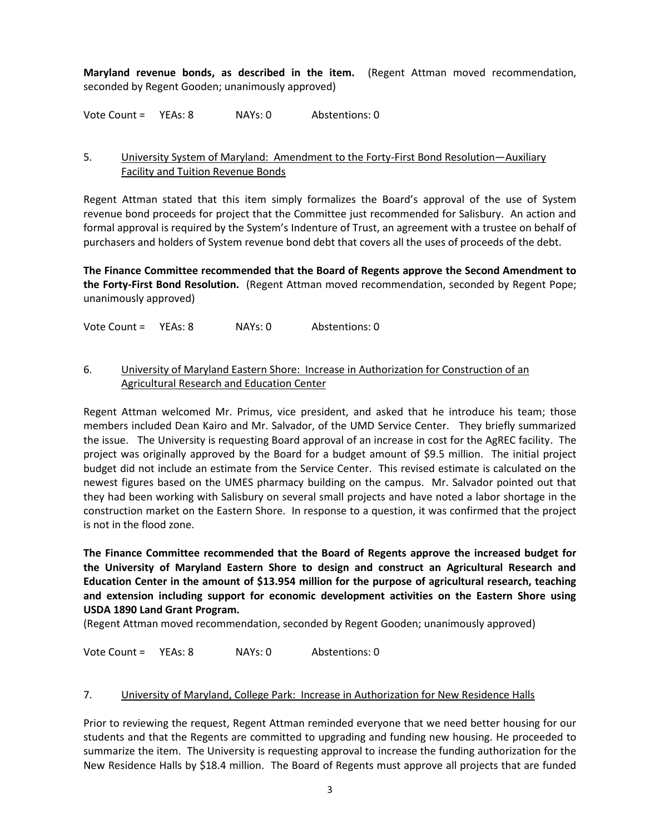**Maryland revenue bonds, as described in the item.** (Regent Attman moved recommendation, seconded by Regent Gooden; unanimously approved)

Vote Count = YEAs: 8 NAYs: 0 Abstentions: 0

### 5. University System of Maryland: Amendment to the Forty-First Bond Resolution—Auxiliary Facility and Tuition Revenue Bonds

Regent Attman stated that this item simply formalizes the Board's approval of the use of System revenue bond proceeds for project that the Committee just recommended for Salisbury. An action and formal approval is required by the System's Indenture of Trust, an agreement with a trustee on behalf of purchasers and holders of System revenue bond debt that covers all the uses of proceeds of the debt.

**The Finance Committee recommended that the Board of Regents approve the Second Amendment to the Forty-First Bond Resolution.** (Regent Attman moved recommendation, seconded by Regent Pope; unanimously approved)

Vote Count = YEAs: 8 NAYs: 0 Abstentions: 0

### 6. University of Maryland Eastern Shore: Increase in Authorization for Construction of an Agricultural Research and Education Center

Regent Attman welcomed Mr. Primus, vice president, and asked that he introduce his team; those members included Dean Kairo and Mr. Salvador, of the UMD Service Center. They briefly summarized the issue. The University is requesting Board approval of an increase in cost for the AgREC facility. The project was originally approved by the Board for a budget amount of \$9.5 million. The initial project budget did not include an estimate from the Service Center. This revised estimate is calculated on the newest figures based on the UMES pharmacy building on the campus. Mr. Salvador pointed out that they had been working with Salisbury on several small projects and have noted a labor shortage in the construction market on the Eastern Shore. In response to a question, it was confirmed that the project is not in the flood zone.

**The Finance Committee recommended that the Board of Regents approve the increased budget for the University of Maryland Eastern Shore to design and construct an Agricultural Research and Education Center in the amount of \$13.954 million for the purpose of agricultural research, teaching and extension including support for economic development activities on the Eastern Shore using USDA 1890 Land Grant Program.**

(Regent Attman moved recommendation, seconded by Regent Gooden; unanimously approved)

Vote Count = YEAs: 8 NAYs: 0 Abstentions: 0

### 7. University of Maryland, College Park: Increase in Authorization for New Residence Halls

Prior to reviewing the request, Regent Attman reminded everyone that we need better housing for our students and that the Regents are committed to upgrading and funding new housing. He proceeded to summarize the item. The University is requesting approval to increase the funding authorization for the New Residence Halls by \$18.4 million. The Board of Regents must approve all projects that are funded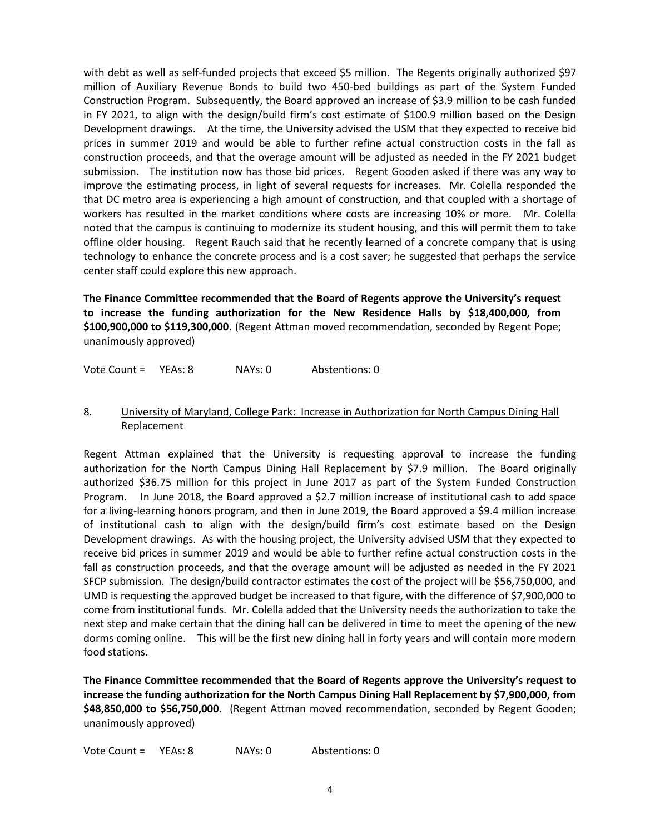with debt as well as self-funded projects that exceed \$5 million. The Regents originally authorized \$97 million of Auxiliary Revenue Bonds to build two 450-bed buildings as part of the System Funded Construction Program. Subsequently, the Board approved an increase of \$3.9 million to be cash funded in FY 2021, to align with the design/build firm's cost estimate of \$100.9 million based on the Design Development drawings. At the time, the University advised the USM that they expected to receive bid prices in summer 2019 and would be able to further refine actual construction costs in the fall as construction proceeds, and that the overage amount will be adjusted as needed in the FY 2021 budget submission. The institution now has those bid prices. Regent Gooden asked if there was any way to improve the estimating process, in light of several requests for increases. Mr. Colella responded the that DC metro area is experiencing a high amount of construction, and that coupled with a shortage of workers has resulted in the market conditions where costs are increasing 10% or more. Mr. Colella noted that the campus is continuing to modernize its student housing, and this will permit them to take offline older housing. Regent Rauch said that he recently learned of a concrete company that is using technology to enhance the concrete process and is a cost saver; he suggested that perhaps the service center staff could explore this new approach.

**The Finance Committee recommended that the Board of Regents approve the University's request to increase the funding authorization for the New Residence Halls by \$18,400,000, from \$100,900,000 to \$119,300,000.** (Regent Attman moved recommendation, seconded by Regent Pope; unanimously approved)

Vote Count = YEAs: 8 NAYs: 0 Abstentions: 0

### 8. University of Maryland, College Park: Increase in Authorization for North Campus Dining Hall Replacement

Regent Attman explained that the University is requesting approval to increase the funding authorization for the North Campus Dining Hall Replacement by \$7.9 million. The Board originally authorized \$36.75 million for this project in June 2017 as part of the System Funded Construction Program. In June 2018, the Board approved a \$2.7 million increase of institutional cash to add space for a living-learning honors program, and then in June 2019, the Board approved a \$9.4 million increase of institutional cash to align with the design/build firm's cost estimate based on the Design Development drawings. As with the housing project, the University advised USM that they expected to receive bid prices in summer 2019 and would be able to further refine actual construction costs in the fall as construction proceeds, and that the overage amount will be adjusted as needed in the FY 2021 SFCP submission. The design/build contractor estimates the cost of the project will be \$56,750,000, and UMD is requesting the approved budget be increased to that figure, with the difference of \$7,900,000 to come from institutional funds. Mr. Colella added that the University needs the authorization to take the next step and make certain that the dining hall can be delivered in time to meet the opening of the new dorms coming online. This will be the first new dining hall in forty years and will contain more modern food stations.

**The Finance Committee recommended that the Board of Regents approve the University's request to increase the funding authorization for the North Campus Dining Hall Replacement by \$7,900,000, from \$48,850,000 to \$56,750,000**. (Regent Attman moved recommendation, seconded by Regent Gooden; unanimously approved)

Vote Count = YEAs: 8 NAYs: 0 Abstentions: 0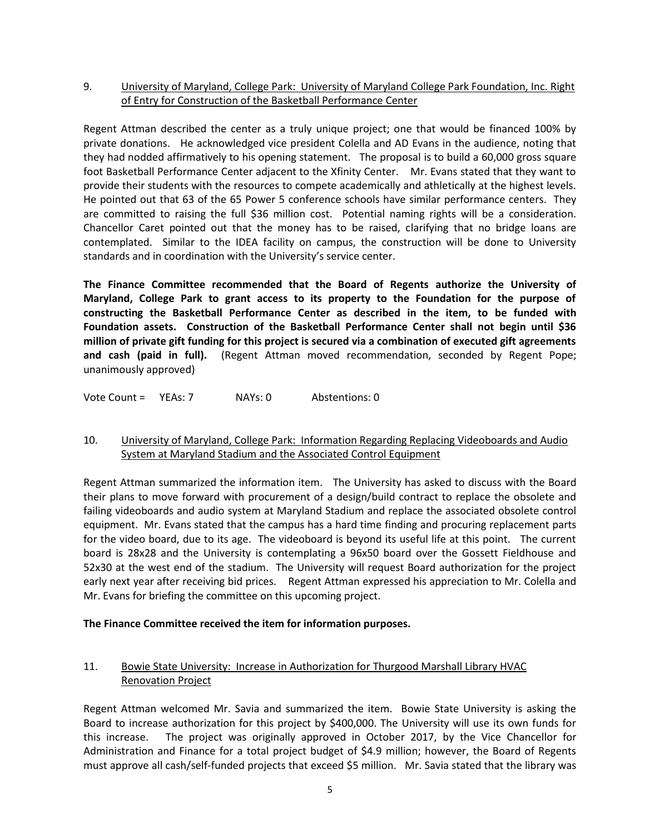## 9. University of Maryland, College Park: University of Maryland College Park Foundation, Inc. Right of Entry for Construction of the Basketball Performance Center

Regent Attman described the center as a truly unique project; one that would be financed 100% by private donations. He acknowledged vice president Colella and AD Evans in the audience, noting that they had nodded affirmatively to his opening statement. The proposal is to build a 60,000 gross square foot Basketball Performance Center adjacent to the Xfinity Center. Mr. Evans stated that they want to provide their students with the resources to compete academically and athletically at the highest levels. He pointed out that 63 of the 65 Power 5 conference schools have similar performance centers. They are committed to raising the full \$36 million cost. Potential naming rights will be a consideration. Chancellor Caret pointed out that the money has to be raised, clarifying that no bridge loans are contemplated. Similar to the IDEA facility on campus, the construction will be done to University standards and in coordination with the University's service center.

**The Finance Committee recommended that the Board of Regents authorize the University of Maryland, College Park to grant access to its property to the Foundation for the purpose of constructing the Basketball Performance Center as described in the item, to be funded with Foundation assets. Construction of the Basketball Performance Center shall not begin until \$36 million of private gift funding for this project is secured via a combination of executed gift agreements and cash (paid in full).** (Regent Attman moved recommendation, seconded by Regent Pope; unanimously approved)

Vote Count = YEAs: 7 NAYs: 0 Abstentions: 0

# 10. University of Maryland, College Park: Information Regarding Replacing Videoboards and Audio System at Maryland Stadium and the Associated Control Equipment

Regent Attman summarized the information item. The University has asked to discuss with the Board their plans to move forward with procurement of a design/build contract to replace the obsolete and failing videoboards and audio system at Maryland Stadium and replace the associated obsolete control equipment. Mr. Evans stated that the campus has a hard time finding and procuring replacement parts for the video board, due to its age. The videoboard is beyond its useful life at this point. The current board is 28x28 and the University is contemplating a 96x50 board over the Gossett Fieldhouse and 52x30 at the west end of the stadium. The University will request Board authorization for the project early next year after receiving bid prices. Regent Attman expressed his appreciation to Mr. Colella and Mr. Evans for briefing the committee on this upcoming project.

### **The Finance Committee received the item for information purposes.**

# 11. Bowie State University: Increase in Authorization for Thurgood Marshall Library HVAC Renovation Project

Regent Attman welcomed Mr. Savia and summarized the item. Bowie State University is asking the Board to increase authorization for this project by \$400,000. The University will use its own funds for this increase. The project was originally approved in October 2017, by the Vice Chancellor for Administration and Finance for a total project budget of \$4.9 million; however, the Board of Regents must approve all cash/self-funded projects that exceed \$5 million. Mr. Savia stated that the library was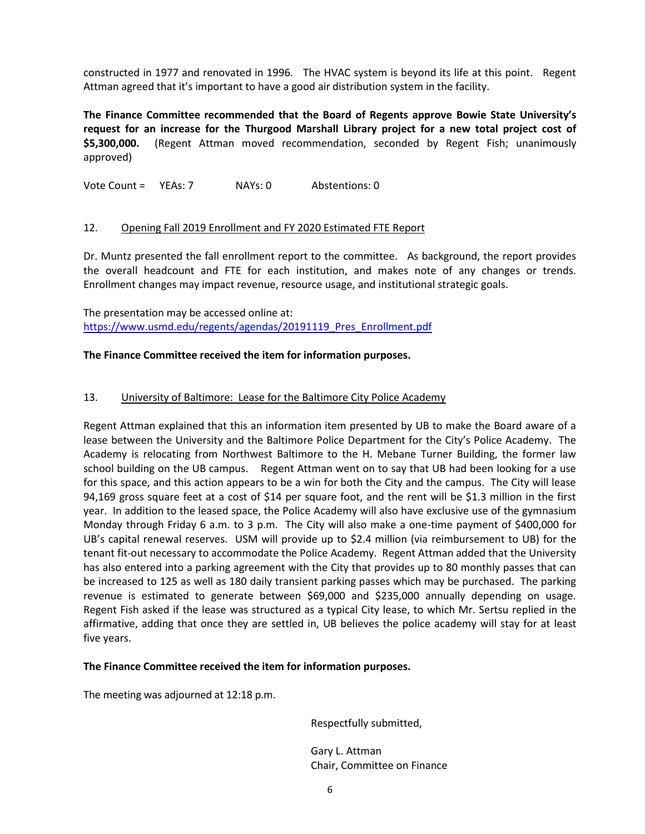constructed in 1977 and renovated in 1996. The HVAC system is beyond its life at this point. Regent Attman agreed that it's important to have a good air distribution system in the facility.

**The Finance Committee recommended that the Board of Regents approve Bowie State University's request for an increase for the Thurgood Marshall Library project for a new total project cost of \$5,300,000.** (Regent Attman moved recommendation, seconded by Regent Fish; unanimously approved)

Vote Count = YEAs: 7 NAYs: 0 Abstentions: 0

### 12. Opening Fall 2019 Enrollment and FY 2020 Estimated FTE Report

Dr. Muntz presented the fall enrollment report to the committee. As background, the report provides the overall headcount and FTE for each institution, and makes note of any changes or trends. Enrollment changes may impact revenue, resource usage, and institutional strategic goals.

The presentation may be accessed online at: [https://www.usmd.edu/regents/agendas/20191119\\_Pres\\_Enrollment.pdf](https://www.usmd.edu/regents/agendas/20191119_Pres_Enrollment.pdf)

### **The Finance Committee received the item for information purposes.**

### 13. University of Baltimore: Lease for the Baltimore City Police Academy

Regent Attman explained that this an information item presented by UB to make the Board aware of a lease between the University and the Baltimore Police Department for the City's Police Academy. The Academy is relocating from Northwest Baltimore to the H. Mebane Turner Building, the former law school building on the UB campus. Regent Attman went on to say that UB had been looking for a use for this space, and this action appears to be a win for both the City and the campus. The City will lease 94,169 gross square feet at a cost of \$14 per square foot, and the rent will be \$1.3 million in the first year. In addition to the leased space, the Police Academy will also have exclusive use of the gymnasium Monday through Friday 6 a.m. to 3 p.m. The City will also make a one-time payment of \$400,000 for UB's capital renewal reserves. USM will provide up to \$2.4 million (via reimbursement to UB) for the tenant fit-out necessary to accommodate the Police Academy. Regent Attman added that the University has also entered into a parking agreement with the City that provides up to 80 monthly passes that can be increased to 125 as well as 180 daily transient parking passes which may be purchased. The parking revenue is estimated to generate between \$69,000 and \$235,000 annually depending on usage. Regent Fish asked if the lease was structured as a typical City lease, to which Mr. Sertsu replied in the affirmative, adding that once they are settled in, UB believes the police academy will stay for at least five years.

#### **The Finance Committee received the item for information purposes.**

The meeting was adjourned at 12:18 p.m.

Respectfully submitted,

Gary L. Attman Chair, Committee on Finance